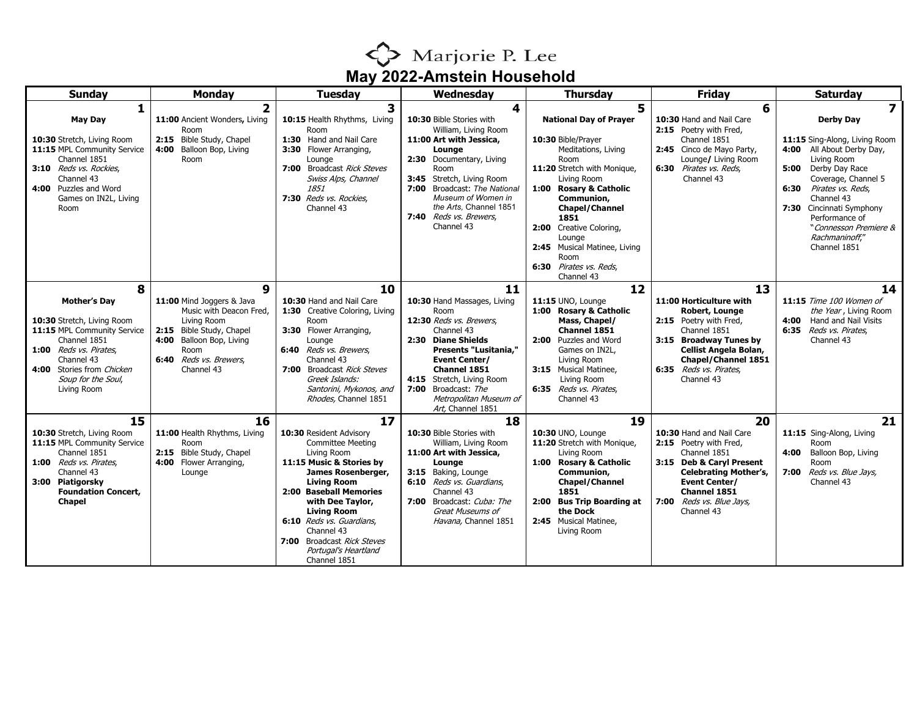

| <b>Sunday</b>                                                                                                                                                                                                   | <b>Monday</b>                                                                                                                                                                       | <b>Tuesday</b>                                                                                                                                                                                                                                                                                                                       | Wednesday                                                                                                                                                                                                                                                                              | <b>Thursday</b>                                                                                                                                                                                                                                                                                                                     | <b>Friday</b>                                                                                                                                                                                                          | <b>Saturday</b>                                                                                                                                                                                                                                                                                      |
|-----------------------------------------------------------------------------------------------------------------------------------------------------------------------------------------------------------------|-------------------------------------------------------------------------------------------------------------------------------------------------------------------------------------|--------------------------------------------------------------------------------------------------------------------------------------------------------------------------------------------------------------------------------------------------------------------------------------------------------------------------------------|----------------------------------------------------------------------------------------------------------------------------------------------------------------------------------------------------------------------------------------------------------------------------------------|-------------------------------------------------------------------------------------------------------------------------------------------------------------------------------------------------------------------------------------------------------------------------------------------------------------------------------------|------------------------------------------------------------------------------------------------------------------------------------------------------------------------------------------------------------------------|------------------------------------------------------------------------------------------------------------------------------------------------------------------------------------------------------------------------------------------------------------------------------------------------------|
| <b>May Day</b><br>10:30 Stretch, Living Room<br>11:15 MPL Community Service<br>Channel 1851<br>3:10 Reds vs. Rockies.<br>Channel 43<br>4:00 Puzzles and Word<br>Games on IN2L, Living<br>Room                   | $\overline{2}$<br>11:00 Ancient Wonders, Living<br>Room<br>2:15 Bible Study, Chapel<br>4:00<br>Balloon Bop, Living<br>Room                                                          | $\overline{\mathbf{3}}$<br>10:15 Health Rhythms, Living<br>Room<br>1:30 Hand and Nail Care<br>3:30 Flower Arranging,<br>Lounge<br>7:00 Broadcast Rick Steves<br>Swiss Alps, Channel<br>1851<br>7:30 Reds vs. Rockies,<br>Channel 43                                                                                                  | 4<br>10:30 Bible Stories with<br>William, Living Room<br>11:00 Art with Jessica,<br>Lounge<br>2:30 Documentary, Living<br>Room<br>3:45<br>Stretch, Living Room<br>7:00 Broadcast: The National<br>Museum of Women in<br>the Arts. Channel 1851<br>7:40 Reds vs. Brewers,<br>Channel 43 | 5<br><b>National Day of Prayer</b><br>10:30 Bible/Prayer<br>Meditations, Living<br>Room<br>11:20 Stretch with Monique,<br>Living Room<br>1:00 Rosary & Catholic<br>Communion,<br><b>Chapel/Channel</b><br>1851<br>2:00 Creative Coloring,<br>Lounge<br>2:45 Musical Matinee, Living<br>Room<br>6:30 Pirates vs. Reds.<br>Channel 43 | 6<br>10:30 Hand and Nail Care<br>2:15 Poetry with Fred.<br>Channel 1851<br>2:45 Cinco de Mavo Party,<br>Lounge/ Living Room<br>6:30 Pirates vs. Reds.<br>Channel 43                                                    | 7<br><b>Derby Day</b><br>11:15 Sing-Along, Living Room<br>4:00 All About Derby Day,<br>Living Room<br>Derby Day Race<br>5:00<br>Coverage, Channel 5<br>6:30 Pirates vs. Reds.<br>Channel 43<br>7:30 Cincinnati Symphony<br>Performance of<br>"Connesson Premiere &<br>Rachmaninoff,"<br>Channel 1851 |
| 8<br><b>Mother's Day</b><br>10:30 Stretch, Living Room<br>11:15 MPL Community Service<br>Channel 1851<br>1:00 Reds vs. Pirates,<br>Channel 43<br>4:00 Stories from Chicken<br>Soup for the Soul,<br>Living Room | 9<br>11:00 Mind Joggers & Java<br>Music with Deacon Fred,<br>Living Room<br>2:15 Bible Study, Chapel<br>4:00<br>Balloon Bop, Living<br>Room<br>6:40 Reds vs. Brewers,<br>Channel 43 | 10<br>10:30 Hand and Nail Care<br>1:30 Creative Coloring, Living<br>Room<br>3:30 Flower Arranging,<br>Lounge<br>6:40 Reds vs. Brewers,<br>Channel 43<br>7:00 Broadcast Rick Steves<br>Greek Islands:<br>Santorini, Mykonos, and<br>Rhodes, Channel 1851                                                                              | 11<br>10:30 Hand Massages, Living<br>Room<br>12:30 Reds vs. Brewers.<br>Channel 43<br>2:30 Diane Shields<br>Presents "Lusitania,"<br><b>Event Center/</b><br>Channel 1851<br>4:15 Stretch, Living Room<br>7:00<br>Broadcast: The<br>Metropolitan Museum of<br>Art, Channel 1851        | 12<br>11:15 UNO, Lounge<br>1:00 Rosary & Catholic<br>Mass, Chapel/<br>Channel 1851<br>2:00 Puzzles and Word<br>Games on IN2L.<br>Living Room<br>3:15 Musical Matinee,<br>Living Room<br>6:35 Reds vs. Pirates,<br>Channel 43                                                                                                        | 13<br>11:00 Horticulture with<br>Robert, Lounge<br>2:15 Poetry with Fred,<br>Channel 1851<br>3:15 Broadway Tunes by<br>Cellist Angela Bolan,<br>Chapel/Channel 1851<br>6:35 Reds vs. Pirates,<br>Channel 43            | 14<br>11:15 Time 100 Women of<br>the Year, Living Room<br>4:00<br>Hand and Nail Visits<br>6:35 Reds vs. Pirates,<br>Channel 43                                                                                                                                                                       |
| 15<br>10:30 Stretch, Living Room<br>11:15 MPL Community Service<br>Channel 1851<br>1:00 Reds vs. Pirates,<br>Channel 43<br>3:00 Piatigorsky<br><b>Foundation Concert,</b><br><b>Chapel</b>                      | 16<br>11:00 Health Rhythms, Living<br>Room<br>2:15 Bible Study, Chapel<br>Flower Arranging,<br>4:00<br>Lounge                                                                       | 17<br>10:30 Resident Advisory<br><b>Committee Meeting</b><br>Living Room<br>11:15 Music & Stories by<br>James Rosenberger,<br><b>Living Room</b><br>2:00 Baseball Memories<br>with Dee Taylor,<br><b>Living Room</b><br>6:10 Reds vs. Guardians,<br>Channel 43<br>7:00 Broadcast Rick Steves<br>Portugal's Heartland<br>Channel 1851 | 18<br>10:30 Bible Stories with<br>William, Living Room<br>11:00 Art with Jessica,<br>Lounge<br>3:15 Baking, Lounge<br>6:10 Reds vs. Guardians,<br>Channel 43<br>7:00 Broadcast: Cuba: The<br>Great Museums of<br>Havana, Channel 1851                                                  | 19<br>10:30 UNO, Lounge<br>11:20 Stretch with Monique,<br>Living Room<br>1:00 Rosary & Catholic<br>Communion,<br><b>Chapel/Channel</b><br>1851<br>2:00 Bus Trip Boarding at<br>the Dock<br>2:45 Musical Matinee,<br>Living Room                                                                                                     | 20<br>10:30 Hand and Nail Care<br>2:15 Poetry with Fred,<br>Channel 1851<br>3:15 Deb & Caryl Present<br><b>Celebrating Mother's,</b><br><b>Event Center/</b><br>Channel 1851<br>7:00 Reds vs. Blue Jays,<br>Channel 43 | 21<br>11:15 Sing-Along, Living<br>Room<br>4:00<br>Balloon Bop, Living<br>Room<br>7:00<br>Reds vs. Blue Jays,<br>Channel 43                                                                                                                                                                           |